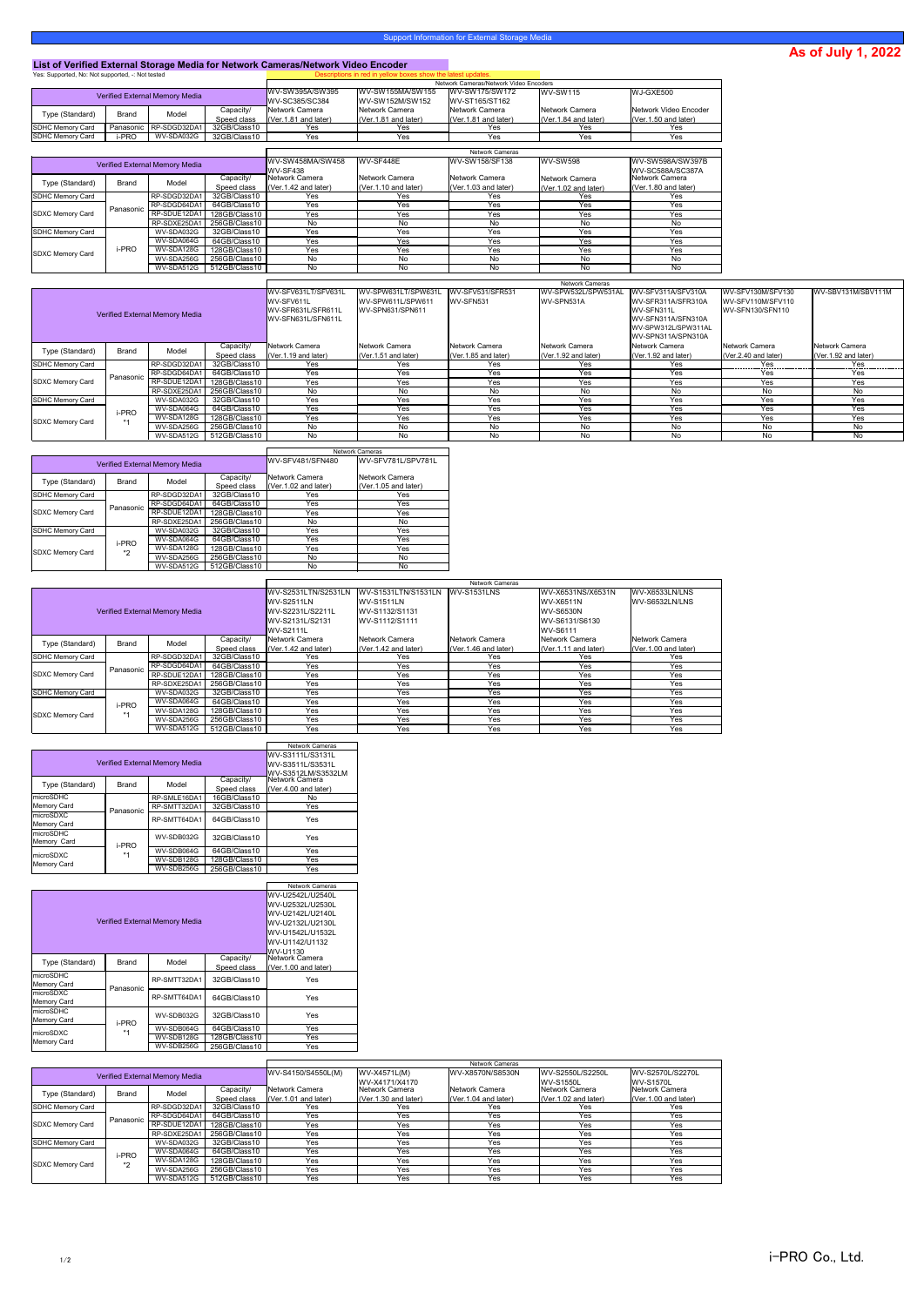## **As of July 1, 2022**

## **List of Verified External Storage Media for Network Cameras/Network Video Encoder**

| Yes: Supported, No: Not supported, -: Not tested |              |                          |              |                                          | Descriptions in red in yellow boxes show the latest updates. |                                         |                                     |                                     |  |
|--------------------------------------------------|--------------|--------------------------|--------------|------------------------------------------|--------------------------------------------------------------|-----------------------------------------|-------------------------------------|-------------------------------------|--|
|                                                  |              |                          |              |                                          | Network Cameras/Network Video Encoders                       |                                         |                                     |                                     |  |
| <b>Verified External Memory Media</b>            |              |                          |              | WV-SW395A/SW395<br><b>WV-SC385/SC384</b> | WV-SW155MA/SW155<br><b>WV-SW152M/SW152</b>                   | WV-SW175/SW172<br><b>WV-ST165/ST162</b> | $IWV-SW115$                         | WJ-GXE500                           |  |
| Type (Standard)                                  | <b>Brand</b> | Model                    | Capacity/    | Network Camera                           | Network Camera                                               | Network Camera                          | Network Camera                      | Network Video Encoder               |  |
|                                                  |              |                          | Speed class  | $\sqrt{(Ver.1.81}$ and later)            | $\sqrt{\text{Ver}.1.81}$ and later)                          | $\sqrt{(Ver.1.81}$ and later)           | $\sqrt{\text{Ver}.1.84}$ and later) | $\sqrt{\text{Ver}.1.50}$ and later) |  |
| SDHC Memory Card                                 |              | Panasonic   RP-SDGD32DA1 | 32GB/Class10 | Yes                                      | Yes                                                          | Yes                                     | Yes                                 | Yes                                 |  |
| <b>SDHC Memory Card</b>                          | -PRO         | WV-SDA032G               | 32GB/Class10 | Yes                                      | Yes                                                          | Yes                                     | Yes                                 | Yes                                 |  |

|                                 |           |                                       |                | <b>Network Cameras</b> |                        |                      |                       |                      |
|---------------------------------|-----------|---------------------------------------|----------------|------------------------|------------------------|----------------------|-----------------------|----------------------|
|                                 |           | <b>Verified External Memory Media</b> |                | WV-SW458MA/SW458       | WV-SF448E              | WV-SW158/SF138       | <b>WV-SW598</b>       | WV-SW598A/SW397B     |
|                                 |           |                                       |                | <b>WV-SF438</b>        |                        |                      |                       | WV-SC588A/SC387A     |
| <b>Brand</b><br>Type (Standard) | Model     | Capacity/                             | Network Camera | Network Camera         | Network Camera         | Network Camera       | <b>Network Camera</b> |                      |
|                                 |           |                                       | Speed class    | (Ver.1.42 and later)   | $(Ver.1.10$ and later) | (Ver.1.03 and later) | (Ver. 1.02 and later) | (Ver.1.80 and later) |
| SDHC Memory Card                |           | RP-SDGD32DA1                          | 32GB/Class10   | Yes                    | Yes                    | Yes                  | <b>Yes</b>            | Yes                  |
|                                 | Panasonic | RP-SDGD64DA1                          | 64GB/Class10   | Yes                    | Yes                    | Yes                  | Yes                   | Yes                  |
| <b>SDXC Memory Card</b>         |           | RP-SDUE12DA1                          | 128GB/Class10  | Yes                    | Yes                    | Yes                  | Yes                   | Yes                  |
|                                 |           | RP-SDXE25DA1                          | 256GB/Class10  | No                     | No                     | No                   | No                    | No                   |
| <b>SDHC Memory Card</b>         |           | WV-SDA032G                            | 32GB/Class10   | Yes                    | Yes                    | Yes                  | Yes                   | Yes                  |
|                                 |           | WV-SDA064G                            | 64GB/Class10   | Yes                    | Yes                    | Yes                  | Yes                   | Yes                  |
| SDXC Memory Card                | i-PRO     | WV-SDA128G                            | 128GB/Class10  | Yes                    | Yes                    | Yes                  | Yes                   | Yes                  |
|                                 |           | WV-SDA256G                            | 256GB/Class10  | No                     | No                     | No                   | No                    | No                   |
|                                 |           | WV-SDA512G                            | 512GB/Class10  | No                     | No                     | No                   | No                    | No                   |

|                                       |              |              |                                          |                                   |                                           |                               | <b>Network Cameras</b>                                  |                                                  |                                        |                      |
|---------------------------------------|--------------|--------------|------------------------------------------|-----------------------------------|-------------------------------------------|-------------------------------|---------------------------------------------------------|--------------------------------------------------|----------------------------------------|----------------------|
|                                       |              |              |                                          | WV-SFV631LT/SFV631L<br>WV-SFV611L | WV-SPW631LT/SPW631L<br>IWV-SPW611L/SPW611 | WV-SFV531/SFR531<br>WV-SFN531 | WV-SPW532L/SPW531AL<br>WV-SPN531A                       | WV-SFV311A/SFV310A<br><b>IWV-SFR311A/SFR310A</b> | WV-SFV130M/SFV130<br>WV-SFV110M/SFV110 | WV-SBV131M/SBV111M   |
| <b>Verified External Memory Media</b> |              |              | WV-SFR631L/SFR611L<br>WV-SFN631L/SFN611L | WV-SPN631/SPN611                  |                                           |                               | WV-SFN311L<br>WV-SFN311A/SFN310A<br>WV-SPW312L/SPW311AL | WV-SFN130/SFN110                                 |                                        |                      |
|                                       |              |              |                                          |                                   |                                           |                               |                                                         | WV-SPN311A/SPN310A                               |                                        |                      |
| Type (Standard)                       | <b>Brand</b> | Model        | Capacity/                                | Network Camera                    | Network Camera                            | Network Camera                | Network Camera                                          | Network Camera                                   | Network Camera                         | Network Camera       |
|                                       |              |              | Speed class                              | (Ver.1.19 and later)              | (Ver.1.51 and later)                      | (Ver.1.85 and later)          | (Ver.1.92 and later)                                    | (Ver. 1.92 and later)                            | (Ver.2.40 and later)                   | (Ver.1.92 and later) |
| SDHC Memory Card                      |              | RP-SDGD32DA1 | 32GB/Class10                             | Yes                               | Yes                                       | Yes                           | Yes                                                     | Yes                                              | Yes                                    | Yes                  |
|                                       | Panasonic    | RP-SDGD64DA1 | 64GB/Class10                             | Yes                               | Yes                                       | Yes                           | Yes                                                     | Yes                                              | Yes                                    | Yes                  |
| <b>SDXC Memory Card</b>               |              | RP-SDUE12DA1 | 128GB/Class10                            | Yes                               | Yes                                       | Yes                           | Yes                                                     | Yes                                              | Yes                                    | Yes                  |
|                                       |              | RP-SDXE25DA  | 256GB/Class10                            | No                                | No                                        | <b>No</b>                     | <b>No</b>                                               | No                                               | No.                                    | <b>No</b>            |
| SDHC Memory Card                      |              | WV-SDA032G   | 32GB/Class10                             | Yes                               | Yes                                       | Yes                           | Yes                                                     | Yes                                              | Yes                                    | Yes                  |
|                                       | i-PRO        | WV-SDA064G   | 64GB/Class10                             | Yes                               | Yes                                       | Yes                           | Yes                                                     | Yes                                              | Yes                                    | Yes                  |
| <b>SDXC Memory Card</b>               | $*1$         | WV-SDA128G   | 128GB/Class10                            | Yes                               | Yes                                       | Yes                           | Yes                                                     | Yes                                              | Yes                                    | Yes                  |
|                                       |              | WV-SDA256G   | 256GB/Class10                            | No                                | No                                        | No                            | No                                                      | No                                               | No                                     | No                   |
|                                       |              | WV-SDA512G   | 512GB/Class10                            | No                                | No                                        | No                            | No                                                      | No                                               | No                                     | No                   |

|                         |              |                                       |               | <b>Network Cameras</b>  |                      |  |
|-------------------------|--------------|---------------------------------------|---------------|-------------------------|----------------------|--|
|                         |              | <b>Verified External Memory Media</b> |               | <b>WV-SFV481/SFN480</b> | WV-SFV781L/SPV781L   |  |
| Type (Standard)         | <b>Brand</b> | Model                                 | Capacity/     | <b>Network Camera</b>   | Network Camera       |  |
|                         |              |                                       | Speed class   | (Ver.1.02 and later)    | (Ver.1.05 and later) |  |
| <b>SDHC Memory Card</b> |              | RP-SDGD32DA1                          | 32GB/Class10  | Yes                     | Yes                  |  |
|                         | Panasonic    | RP-SDGD64DA1                          | 64GB/Class10  | Yes                     | Yes                  |  |
| <b>SDXC Memory Card</b> |              | RP-SDUE12DA1                          | 128GB/Class10 | Yes                     | Yes                  |  |
|                         |              | RP-SDXE25DA1                          | 256GB/Class10 | No                      | No.                  |  |
| SDHC Memory Card        |              | WV-SDA032G                            | 32GB/Class10  | Yes                     | Yes                  |  |
|                         | i-PRO        | WV-SDA064G                            | 64GB/Class10  | Yes                     | Yes                  |  |
| <b>SDXC Memory Card</b> | *2           | WV-SDA128G                            | 128GB/Class10 | Yes                     | Yes                  |  |
|                         |              | WV-SDA256G                            | 256GB/Class10 | No                      | No.                  |  |
|                         |              | WV-SDA512G                            | 512GB/Class10 | No.                     | No                   |  |

|                         |              |                                |                  | <b>Network Cameras</b> |                      |                      |                      |                      |  |
|-------------------------|--------------|--------------------------------|------------------|------------------------|----------------------|----------------------|----------------------|----------------------|--|
|                         |              |                                |                  | WV-S2531LTN/S2531LN    | WV-S1531LTN/S1531LN  | WV-S1531LNS          | WV-X6531NS/X6531N    | WV-X6533LN/LNS       |  |
|                         |              |                                |                  |                        | <b>WV-S1511LN</b>    |                      | WV-X6511N            | WV-S6532LN/LNS       |  |
|                         |              | Verified External Memory Media |                  | WV-S2231L/S2211L       | WV-S1132/S1131       |                      | <b>WV-S6530N</b>     |                      |  |
|                         |              |                                |                  | WV-S2131L/S2131        | WV-S1112/S1111       |                      | WV-S6131/S6130       |                      |  |
|                         |              |                                | <b>WV-S2111L</b> |                        |                      | WV-S6111             |                      |                      |  |
| Type (Standard)         | <b>Brand</b> | Model                          | Capacity/        | Network Camera         | Network Camera       | Network Camera       | Network Camera       | Network Camera       |  |
|                         |              |                                | Speed class      | (Ver.1.42 and later)   | (Ver.1.42 and later) | (Ver.1.46 and later) | (Ver.1.11 and later) | (Ver.1.00 and later) |  |
| <b>SDHC Memory Card</b> |              | RP-SDGD32DA1                   | 32GB/Class10     | Yes                    | Yes                  | Yes                  | Yes                  | Yes                  |  |
|                         | Panasonic    | RP-SDGD64DA1                   | 64GB/Class10     | Yes                    | Yes                  | Yes                  | Yes                  | Yes                  |  |
| <b>SDXC Memory Card</b> |              | RP-SDUE12DA1                   | 128GB/Class10    | Yes                    | Yes                  | Yes                  | Yes                  | Yes                  |  |
|                         |              | RP-SDXE25DA1                   | 256GB/Class10    | Yes                    | Yes                  | Yes                  | Yes                  | Yes                  |  |
| <b>SDHC Memory Card</b> |              | WV-SDA032G                     | 32GB/Class10     | Yes                    | Yes                  | Yes                  | Yes                  | Yes                  |  |
|                         | i-PRO        | WV-SDA064G                     | 64GB/Class10     | Yes                    | Yes                  | Yes                  | Yes                  | Yes                  |  |
| <b>SDXC Memory Card</b> | $*1$         | WV-SDA128G                     | 128GB/Class10    | Yes                    | Yes                  | Yes                  | Yes                  | Yes                  |  |
|                         |              | WV-SDA256G                     | 256GB/Class10    | Yes                    | Yes                  | Yes                  | Yes                  | Yes                  |  |
|                         |              | WV-SDA512G                     | 512GB/Class10    | Yes                    | Yes                  | Yes                  | Yes                  | Yes                  |  |

|                    |              |                                       |               | <b>Network Cameras</b> |  |  |
|--------------------|--------------|---------------------------------------|---------------|------------------------|--|--|
|                    |              |                                       |               | WV-S3111L/S3131L       |  |  |
|                    |              | <b>Verified External Memory Media</b> |               | WV-S3511L/S3531L       |  |  |
|                    |              |                                       |               | WV-S3512LM/S3532LM     |  |  |
| Type (Standard)    | <b>Brand</b> | Model                                 | Capacity/     | Network Camera         |  |  |
|                    |              |                                       | Speed class   | $(Ver.4.00$ and later) |  |  |
| microSDHC          |              | RP-SMLE16DA1                          | 16GB/Class10  | No                     |  |  |
| <b>Memory Card</b> | Panasonic    | RP-SMTT32DA1                          | 32GB/Class10  | Yes                    |  |  |
| microSDXC          |              | RP-SMTT64DA1                          | 64GB/Class10  | Yes                    |  |  |
| <b>Memory Card</b> |              |                                       |               |                        |  |  |
| microSDHC          |              | WV-SDB032G                            | 32GB/Class10  | Yes                    |  |  |
| Memory Card        | i-PRO        |                                       |               |                        |  |  |
|                    | *1           | WV-SDB064G                            | 64GB/Class10  | Yes                    |  |  |
| microSDXC          |              | WV-SDB128G                            | 128GB/Class10 | <b>Yes</b>             |  |  |
| <b>Memory Card</b> |              | WV-SDB256G                            | 256GB/Class10 | Yes                    |  |  |

|                    |                                       |              |               | <b>Network Cameras</b> |  |  |  |  |  |  |
|--------------------|---------------------------------------|--------------|---------------|------------------------|--|--|--|--|--|--|
|                    |                                       |              |               | WV-U2542L/U2540L       |  |  |  |  |  |  |
|                    |                                       |              |               | WV-U2532L/U2530L       |  |  |  |  |  |  |
|                    |                                       |              |               | WV-U2142L/U2140L       |  |  |  |  |  |  |
|                    | <b>Verified External Memory Media</b> |              |               |                        |  |  |  |  |  |  |
|                    |                                       |              |               |                        |  |  |  |  |  |  |
|                    | WV-U1142/U1132                        |              |               |                        |  |  |  |  |  |  |
|                    |                                       |              | WV-U1130      |                        |  |  |  |  |  |  |
| Type (Standard)    | Brand                                 | Model        | Capacity/     | Network Camera         |  |  |  |  |  |  |
|                    |                                       |              | Speed class   | (Ver. 1.00 and later)  |  |  |  |  |  |  |
| microSDHC          |                                       | RP-SMTT32DA1 | 32GB/Class10  | Yes                    |  |  |  |  |  |  |
| Memory Card        | Panasonic                             |              |               |                        |  |  |  |  |  |  |
| microSDXC          |                                       | RP-SMTT64DA1 | 64GB/Class10  | Yes                    |  |  |  |  |  |  |
| <b>Memory Card</b> |                                       |              |               |                        |  |  |  |  |  |  |
| microSDHC          |                                       | WV-SDB032G   | 32GB/Class10  | Yes                    |  |  |  |  |  |  |
| <b>Memory Card</b> | i-PRO                                 |              |               |                        |  |  |  |  |  |  |
| microSDXC          | *1                                    | WV-SDB064G   | 64GB/Class10  | Yes                    |  |  |  |  |  |  |
| <b>Memory Card</b> |                                       | WV-SDB128G   | 128GB/Class10 | Yes                    |  |  |  |  |  |  |
|                    |                                       | WV-SDB256G   | 256GB/Class10 | Yes                    |  |  |  |  |  |  |

|                         |              |                                |                      | <b>Network Cameras</b> |                               |                      |                      |                  |  |
|-------------------------|--------------|--------------------------------|----------------------|------------------------|-------------------------------|----------------------|----------------------|------------------|--|
|                         |              | Verified External Memory Media |                      | WV-S4150/S4550L(M)     | WV-X4571L(M)                  | WV-X8570N/S8530N     | WV-S2550L/S2250L     | WV-S2570L/S2270L |  |
|                         |              |                                |                      |                        | WV-X4171/X4170                |                      | <b>WV-S1550L</b>     | <b>WV-S1570L</b> |  |
| Type (Standard)         | <b>Brand</b> | Model                          | Capacity/            | Network Camera         | Network Camera                | Network Camera       | Network Camera       | Network Camera   |  |
|                         |              | Speed class                    | (Ver.1.01 and later) | (Ver.1.30 and later)   | $\sqrt{(Ver.1.04}$ and later) | (Ver.1.02 and later) | (Ver.1.00 and later) |                  |  |
| SDHC Memory Card        |              | RP-SDGD32DA1                   | 32GB/Class10         | Yes                    | Yes                           | Yes                  | Yes                  | Yes              |  |
|                         | Panasonic    | RP-SDGD64DA1                   | 64GB/Class10         | Yes                    | Yes                           | Yes                  | Yes                  | Yes              |  |
| <b>SDXC Memory Card</b> |              | RP-SDUE12DA1                   | 128GB/Class10        | Yes                    | Yes                           | Yes                  | Yes                  | Yes              |  |
|                         |              | RP-SDXE25DA1                   | 256GB/Class10        | Yes                    | Yes                           | Yes                  | Yes                  | Yes              |  |
| SDHC Memory Card        |              | WV-SDA032G                     | 32GB/Class10         | Yes                    | Yes                           | Yes                  | Yes                  | Yes              |  |
|                         | i-PRO        | WV-SDA064G                     | 64GB/Class10         | Yes                    | Yes                           | Yes                  | Yes                  | Yes              |  |
| <b>SDXC Memory Card</b> | $*_{2}$      | WV-SDA128G                     | 128GB/Class10        | Yes                    | Yes                           | Yes                  | Yes                  | Yes              |  |
|                         |              | WV-SDA256G                     | 256GB/Class10        | Yes                    | Yes                           | Yes                  | Yes                  | Yes              |  |
|                         |              | WV-SDA512G                     | 512GB/Class10        | Yes                    | Yes                           | Yes                  | Yes                  | Yes              |  |

 $i-PROCo., Ltd.$ 

## Support Information for External Storage Media